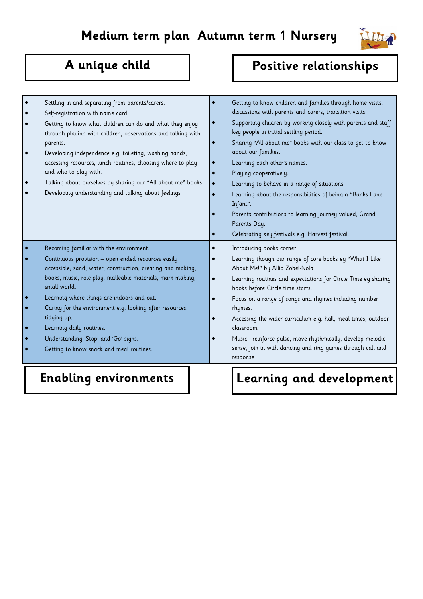

| Settling in and separating from parents/carers.<br>Self-registration with name card.<br>Getting to know what children can do and what they enjoy<br>through playing with children, observations and talking with<br>parents.<br>Developing independence e.g. toileting, washing hands,<br>accessing resources, lunch routines, choosing where to play<br>and who to play with.<br>Talking about ourselves by sharing our "All about me" books<br>Developing understanding and talking about feelings | Getting to know children and families through home visits,<br>discussions with parents and carers, transition visits.<br>Supporting children by working closely with parents and staff<br>key people in initial settling period.<br>Sharing "All about me" books with our class to get to know<br>about our families.<br>Learning each other's names.<br>Playing cooperatively.<br>Learning to behave in a range of situations.<br>Learning about the responsibilities of being a "Banks Lane<br>Infant".<br>Parents contributions to learning journey valued, Grand<br>Parents Day.<br>Celebrating key festivals e.g. Harvest festival. |
|------------------------------------------------------------------------------------------------------------------------------------------------------------------------------------------------------------------------------------------------------------------------------------------------------------------------------------------------------------------------------------------------------------------------------------------------------------------------------------------------------|------------------------------------------------------------------------------------------------------------------------------------------------------------------------------------------------------------------------------------------------------------------------------------------------------------------------------------------------------------------------------------------------------------------------------------------------------------------------------------------------------------------------------------------------------------------------------------------------------------------------------------------|
| Becoming familiar with the environment.<br>Continuous provision - open ended resources easily<br>accessible; sand, water, construction, creating and making,<br>books, music, role play, malleable materials, mark making,<br>small world.<br>Learning where things are indoors and out.<br>Caring for the environment e.g. looking after resources,<br>tidying up.<br>Learning daily routines.<br>Understanding 'Stop' and 'Go' signs.<br>Getting to know snack and meal routines.                  | Introducing books corner.<br>Learning though our range of core books eg "What I Like<br>About Me!" by Allia Zobel-Nola<br>Learning routines and expectations for Circle Time eg sharing<br>books before Circle time starts.<br>Focus on a range of songs and rhymes including number<br>rhymes.<br>Accessing the wider curriculum e.g. hall, meal times, outdoor<br>classroom<br>Music - reinforce pulse, move rhythmically, develop melodic<br>sense, join in with dancing and ring games through call and<br>response.                                                                                                                 |

### **Enabling environments** | Learning and development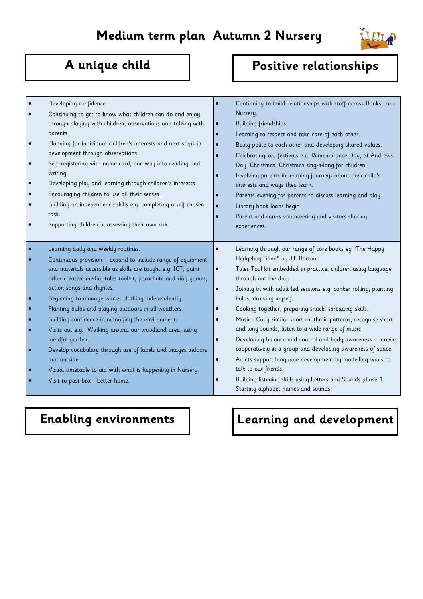

| Developing confidence<br>Continuing to get to know what children can do and enjoy<br>through playing with children, observations and talking with<br>parents.<br>Planning for individual children's interests and next steps in<br>development through observations.<br>Self-registering with name card, one way into reading and<br>writing.<br>Developing play and learning through children's interests.<br>Encouraging children to use all their senses.<br>Building on independence skills e.g. completing a self chosen<br>task.<br>Supporting children in assessing their own risk. | $\bullet$<br>$\bullet$<br>$\bullet$<br>$\bullet$<br>$\bullet$<br>$\bullet$ | Continuing to build relationships with staff across Banks Lane<br>Nursery.<br>Building friendships.<br>Learning to respect and take care of each other.<br>Being polite to each other and developing shared values.<br>Celebrating key festivals e.g. Remembrance Day, St Andrews<br>Day, Christmas, Christmas sing-a-long for children.<br>Involving parents in learning journeys about their child's<br>interests and ways they learn.<br>Parents evening for parents to discuss learning and play.<br>Library book loans begin.<br>Parent and carers volunteering and visitors sharing<br>experiences. |
|--------------------------------------------------------------------------------------------------------------------------------------------------------------------------------------------------------------------------------------------------------------------------------------------------------------------------------------------------------------------------------------------------------------------------------------------------------------------------------------------------------------------------------------------------------------------------------------------|----------------------------------------------------------------------------|-----------------------------------------------------------------------------------------------------------------------------------------------------------------------------------------------------------------------------------------------------------------------------------------------------------------------------------------------------------------------------------------------------------------------------------------------------------------------------------------------------------------------------------------------------------------------------------------------------------|
|                                                                                                                                                                                                                                                                                                                                                                                                                                                                                                                                                                                            |                                                                            |                                                                                                                                                                                                                                                                                                                                                                                                                                                                                                                                                                                                           |
| Learning daily and weekly routines.<br>Continuous provision - expand to include range of equipment<br>and materials accessible as skills are taught e.g. ICT, paint<br>other creative media, tales toolkit, parachute and ring games,                                                                                                                                                                                                                                                                                                                                                      | $\bullet$                                                                  | Learning through our range of core books eg "The Happy<br>Hedgehog Band" by Jill Barton.<br>Tales Tool kit embedded in practice, children using language<br>through out the day.                                                                                                                                                                                                                                                                                                                                                                                                                          |
| action songs and rhymes.<br>Beginning to manage winter clothing independently.                                                                                                                                                                                                                                                                                                                                                                                                                                                                                                             | $\bullet$                                                                  | Joining in with adult led sessions e.g. conker rolling, planting<br>bulbs, drawing myself.                                                                                                                                                                                                                                                                                                                                                                                                                                                                                                                |
| Planting bulbs and playing outdoors in all weathers.<br>Building confidence in managing the environment.<br>Visits out e.g. Walking around our woodland area, using                                                                                                                                                                                                                                                                                                                                                                                                                        |                                                                            | Cooking together, preparing snack, spreading skills.<br>Music - Copy similar short rhythmic patterns, recognise short<br>and long sounds, listen to a wide range of music                                                                                                                                                                                                                                                                                                                                                                                                                                 |
| mindful garden.<br>Develop vocabulary through use of labels and images indoors<br>and outside.                                                                                                                                                                                                                                                                                                                                                                                                                                                                                             | $\bullet$<br>$\bullet$                                                     | Developing balance and control and body awareness - moving<br>cooperatively in a group and developing awareness of space.<br>Adults support language development by modelling ways to                                                                                                                                                                                                                                                                                                                                                                                                                     |
| Visual timetable to aid with what is happening in Nursery.<br>Visit to post box-Letter home.                                                                                                                                                                                                                                                                                                                                                                                                                                                                                               |                                                                            | talk to our friends.<br>Building listening skills using Letters and Sounds phase 1.<br>Starting alphabet names and sounds.                                                                                                                                                                                                                                                                                                                                                                                                                                                                                |

# **Enabling environments | | Learning and development**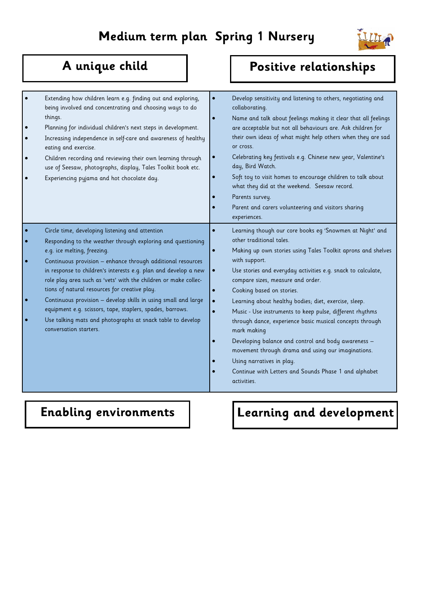

| Extending how children learn e.g. finding out and exploring,<br>being involved and concentrating and choosing ways to do<br>things.<br>Planning for individual children's next steps in development.<br>Increasing independence in self-care and awareness of healthy<br>eating and exercise.<br>Children recording and reviewing their own learning through<br>use of Seesaw, photographs, display, Tales Toolkit book etc.<br>Experiencing pyjama and hot chocolate day. | collaborating.<br>or cross.<br>day, Bird Watch.<br>Parents survey.<br>experiences. | Develop sensitivity and listening to others, negotiating and<br>Name and talk about feelings making it clear that all feelings<br>are acceptable but not all behaviours are. Ask children for<br>their own ideas of what might help others when they are sad<br>Celebrating key festivals e.g. Chinese new year, Valentine's<br>Soft toy to visit homes to encourage children to talk about<br>what they did at the weekend. Seesaw record.<br>Parent and carers volunteering and visitors sharing |
|----------------------------------------------------------------------------------------------------------------------------------------------------------------------------------------------------------------------------------------------------------------------------------------------------------------------------------------------------------------------------------------------------------------------------------------------------------------------------|------------------------------------------------------------------------------------|----------------------------------------------------------------------------------------------------------------------------------------------------------------------------------------------------------------------------------------------------------------------------------------------------------------------------------------------------------------------------------------------------------------------------------------------------------------------------------------------------|
| Circle time, developing listening and attention<br>Responding to the weather through exploring and questioning                                                                                                                                                                                                                                                                                                                                                             | other traditional tales.                                                           | Learning though our core books eg 'Snowmen at Night' and                                                                                                                                                                                                                                                                                                                                                                                                                                           |
| e.g. ice melting, freezing.                                                                                                                                                                                                                                                                                                                                                                                                                                                |                                                                                    | Making up own stories using Tales Toolkit aprons and shelves                                                                                                                                                                                                                                                                                                                                                                                                                                       |
| Continuous provision - enhance through additional resources<br>in response to children's interests e.g. plan and develop a new                                                                                                                                                                                                                                                                                                                                             | with support.                                                                      | Use stories and everyday activities e.g. snack to calculate,                                                                                                                                                                                                                                                                                                                                                                                                                                       |
| role play area such as 'vets' with the children or make collec-                                                                                                                                                                                                                                                                                                                                                                                                            |                                                                                    | compare sizes, measure and order.                                                                                                                                                                                                                                                                                                                                                                                                                                                                  |
| tions of natural resources for creative play.                                                                                                                                                                                                                                                                                                                                                                                                                              |                                                                                    | Cooking based on stories.                                                                                                                                                                                                                                                                                                                                                                                                                                                                          |
| Continuous provision - develop skills in using small and large                                                                                                                                                                                                                                                                                                                                                                                                             |                                                                                    | Learning about healthy bodies; diet, exercise, sleep.                                                                                                                                                                                                                                                                                                                                                                                                                                              |
| equipment e.g. scissors, tape, staplers, spades, barrows.<br>Use talking mats and photographs at snack table to develop<br>conversation starters.                                                                                                                                                                                                                                                                                                                          | mark making                                                                        | Music - Use instruments to keep pulse, different rhythms<br>through dance, experience basic musical concepts through                                                                                                                                                                                                                                                                                                                                                                               |
|                                                                                                                                                                                                                                                                                                                                                                                                                                                                            |                                                                                    | Developing balance and control and body awareness -<br>movement through drama and using our imaginations.                                                                                                                                                                                                                                                                                                                                                                                          |
|                                                                                                                                                                                                                                                                                                                                                                                                                                                                            |                                                                                    | Using narratives in play.                                                                                                                                                                                                                                                                                                                                                                                                                                                                          |
|                                                                                                                                                                                                                                                                                                                                                                                                                                                                            | activities.                                                                        | Continue with Letters and Sounds Phase 1 and alphabet                                                                                                                                                                                                                                                                                                                                                                                                                                              |

# Enabling environments | | | Learning and development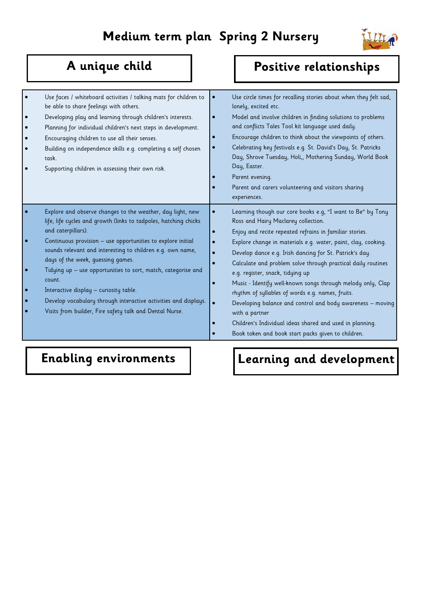

| $\bullet$<br>$\bullet$<br>$\bullet$ | Use faces / whiteboard activities / talking mats for children to<br>be able to share feelings with others.<br>Developing play and learning through children's interests.<br>Planning for individual children's next steps in development.<br>Encouraging children to use all their senses.<br>Building on independence skills e.g. completing a self chosen<br>task.<br>Supporting children in assessing their own risk.<br>Explore and observe changes to the weather, day light, new                      | Use circle times for recalling stories about when they felt sad,<br>lonely, excited etc.<br>Model and involve children in finding solutions to problems<br>and conflicts Tales Tool kit language used daily.<br>Encourage children to think about the viewpoints of others.<br>Celebrating key festivals e.g. St. David's Day, St. Patricks<br>Day, Shrove Tuesday, Holi,, Mothering Sunday, World Book<br>Day, Easter.<br>Parent evening.<br>Parent and carers volunteering and visitors sharing<br>experiences.<br>Learning though our core books e.g, "I want to Be" by Tony                                                                     |  |
|-------------------------------------|-------------------------------------------------------------------------------------------------------------------------------------------------------------------------------------------------------------------------------------------------------------------------------------------------------------------------------------------------------------------------------------------------------------------------------------------------------------------------------------------------------------|-----------------------------------------------------------------------------------------------------------------------------------------------------------------------------------------------------------------------------------------------------------------------------------------------------------------------------------------------------------------------------------------------------------------------------------------------------------------------------------------------------------------------------------------------------------------------------------------------------------------------------------------------------|--|
|                                     | life, life cycles and growth (links to tadpoles, hatching chicks<br>and caterpillars).<br>Continuous provision - use opportunities to explore initial<br>sounds relevant and interesting to children e.g. own name,<br>days of the week, quessing games.<br>Tidying up - use opportunities to sort, match, categorise and<br>count.<br>Interactive display - curiosity table.<br>Develop vocabulary through interactive activities and displays.<br>Visits from builder, Fire safety talk and Dental Nurse. | Ross and Hairy Maclarey collection.<br>Enjoy and recite repeated refrains in familiar stories.<br>Explore change in materials e.g. water, paint, clay, cooking.<br>Develop dance e.g. Irish dancing for St. Patrick's day.<br>Calculate and problem solve through practical daily routines<br>e.g. register, snack, tidying up<br>Music - Identify well-known songs through melody only, Clap<br>rhythm of syllables of words e.g. names, fruits.<br>Developing balance and control and body awareness - moving<br>with a partner<br>Children's Individual ideas shared and used in planning.<br>Book token and book start packs given to children. |  |

# **Enabling environments | | | Learning and development**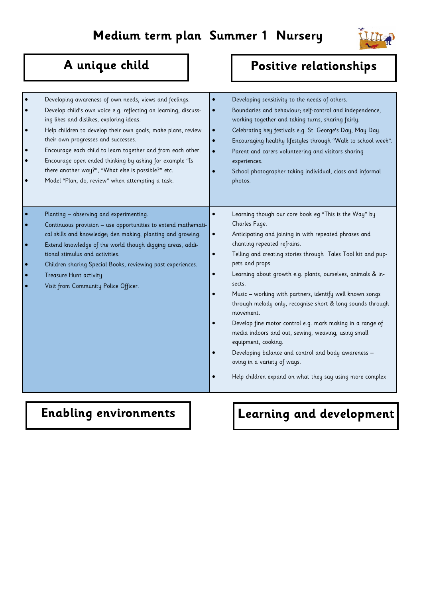

| Developing awareness of own needs, views and feelings.<br>Develop child's own voice e.g. reflecting on learning, discuss-<br>ing likes and dislikes, exploring ideas.<br>Help children to develop their own goals, make plans, review<br>their own progresses and successes.<br>Encourage each child to learn together and from each other.<br>Encourage open ended thinking by asking for example "Is<br>there another way?", "What else is possible?" etc.<br>Model "Plan, do, review" when attempting a task. | Developing sensitivity to the needs of others.<br>Boundaries and behaviour; self-control and independence,<br>$\bullet$<br>working together and taking turns, sharing fairly.<br>Celebrating key festivals e.g. St. George's Day, May Day.<br>$\bullet$<br>Encouraging healthy lifestyles through "Walk to school week".<br>$\bullet$<br>Parent and carers volunteering and visitors sharing<br>$\bullet$<br>experiences.<br>School photographer taking individual, class and informal<br>photos.                                                                                                                                                                                                                                                                                        |
|------------------------------------------------------------------------------------------------------------------------------------------------------------------------------------------------------------------------------------------------------------------------------------------------------------------------------------------------------------------------------------------------------------------------------------------------------------------------------------------------------------------|------------------------------------------------------------------------------------------------------------------------------------------------------------------------------------------------------------------------------------------------------------------------------------------------------------------------------------------------------------------------------------------------------------------------------------------------------------------------------------------------------------------------------------------------------------------------------------------------------------------------------------------------------------------------------------------------------------------------------------------------------------------------------------------|
| Planting - observing and experimenting.<br>Continuous provision - use opportunities to extend mathemati-<br>cal skills and knowledge; den making, planting and growing.<br>Extend knowledge of the world though digging areas, addi-<br>tional stimulus and activities.<br>Children sharing Special Books, reviewing past experiences.<br>Treasure Hunt activity.<br>Visit from Community Police Officer.                                                                                                        | Learning though our core book eg "This is the Way" by<br>Charles Fuge.<br>Anticipating and joining in with repeated phrases and<br>$\bullet$<br>chanting repeated refrains.<br>Telling and creating stories through Tales Tool kit and pup-<br>$\bullet$<br>pets and props.<br>Learning about growth e.g. plants, ourselves, animals & in-<br>sects.<br>Music - working with partners, identify well known songs<br>through melody only, recognise short & long sounds through<br>movement.<br>Develop fine motor control e.g. mark making in a range of<br>media indoors and out, sewing, weaving, using small<br>equipment, cooking.<br>Developing balance and control and body awareness -<br>oving in a variety of ways.<br>Help children expand on what they say using more complex |

## **Enabling environments** | Learning and development